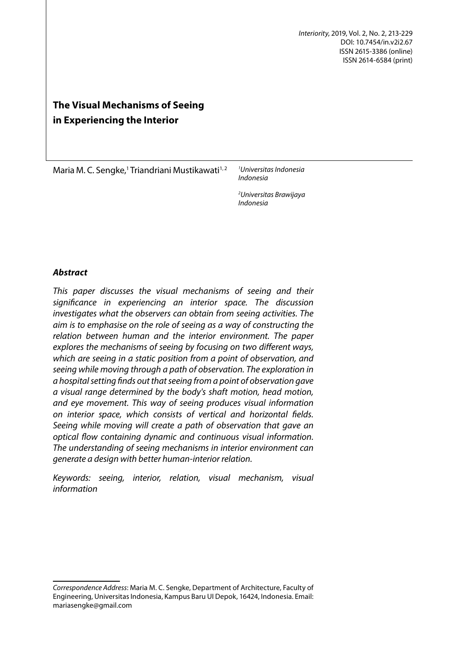*Interiority*, 2019, Vol. 2, No. 2, 213-229 DOI: 10.7454/in.v2i2.67 ISSN 2615-3386 (online) ISSN 2614-6584 (print)

# **The Visual Mechanisms of Seeing in Experiencing the Interior**

Maria M. C. Sengke,<sup>1</sup> Triandriani Mustikawati<sup>1,2</sup>

*1 Universitas Indonesia Indonesia*

*2 Universitas Brawijaya Indonesia*

# *Abstract*

*This paper discusses the visual mechanisms of seeing and their significance in experiencing an interior space. The discussion investigates what the observers can obtain from seeing activities. The aim is to emphasise on the role of seeing as a way of constructing the relation between human and the interior environment. The paper explores the mechanisms of seeing by focusing on two different ways, which are seeing in a static position from a point of observation, and seeing while moving through a path of observation. The exploration in a hospital setting finds out that seeing from a point of observation gave a visual range determined by the body's shaft motion, head motion, and eye movement. This way of seeing produces visual information on interior space, which consists of vertical and horizontal fields. Seeing while moving will create a path of observation that gave an optical flow containing dynamic and continuous visual information. The understanding of seeing mechanisms in interior environment can generate a design with better human-interior relation.*

*Keywords: seeing, interior, relation, visual mechanism, visual information* 

*Correspondence Address*: Maria M. C. Sengke, Department of Architecture, Faculty of Engineering, Universitas Indonesia, Kampus Baru UI Depok, 16424, Indonesia. Email: mariasengke@gmail.com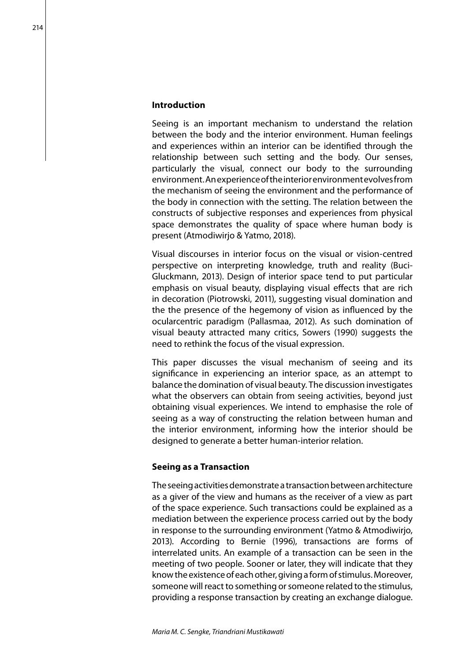## **Introduction**

Seeing is an important mechanism to understand the relation between the body and the interior environment. Human feelings and experiences within an interior can be identified through the relationship between such setting and the body. Our senses, particularly the visual, connect our body to the surrounding environment. An experience of the interior environment evolves from the mechanism of seeing the environment and the performance of the body in connection with the setting. The relation between the constructs of subjective responses and experiences from physical space demonstrates the quality of space where human body is present (Atmodiwirjo & Yatmo, 2018).

Visual discourses in interior focus on the visual or vision-centred perspective on interpreting knowledge, truth and reality (Buci-Gluckmann, 2013). Design of interior space tend to put particular emphasis on visual beauty, displaying visual effects that are rich in decoration (Piotrowski, 2011), suggesting visual domination and the the presence of the hegemony of vision as influenced by the ocularcentric paradigm (Pallasmaa, 2012). As such domination of visual beauty attracted many critics, Sowers (1990) suggests the need to rethink the focus of the visual expression.

This paper discusses the visual mechanism of seeing and its significance in experiencing an interior space, as an attempt to balance the domination of visual beauty. The discussion investigates what the observers can obtain from seeing activities, beyond just obtaining visual experiences. We intend to emphasise the role of seeing as a way of constructing the relation between human and the interior environment, informing how the interior should be designed to generate a better human-interior relation.

## **Seeing as a Transaction**

The seeing activities demonstrate a transaction between architecture as a giver of the view and humans as the receiver of a view as part of the space experience. Such transactions could be explained as a mediation between the experience process carried out by the body in response to the surrounding environment (Yatmo & Atmodiwirjo, 2013). According to Bernie (1996), transactions are forms of interrelated units. An example of a transaction can be seen in the meeting of two people. Sooner or later, they will indicate that they know the existence of each other, giving a form of stimulus. Moreover, someone will react to something or someone related to the stimulus, providing a response transaction by creating an exchange dialogue.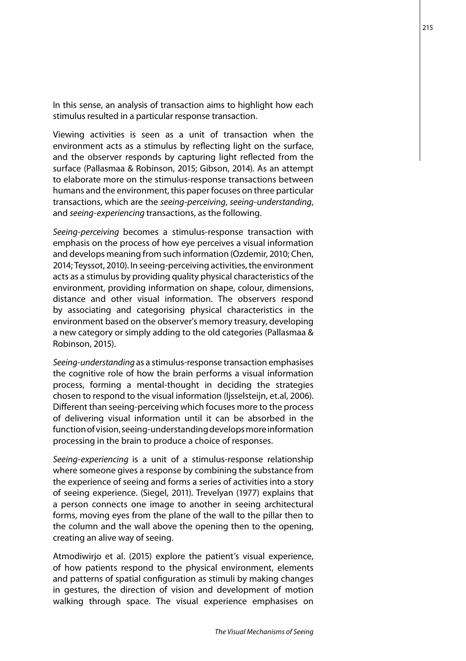In this sense, an analysis of transaction aims to highlight how each stimulus resulted in a particular response transaction.

Viewing activities is seen as a unit of transaction when the environment acts as a stimulus by reflecting light on the surface, and the observer responds by capturing light reflected from the surface (Pallasmaa & Robinson, 2015; Gibson, 2014). As an attempt to elaborate more on the stimulus-response transactions between humans and the environment, this paper focuses on three particular transactions, which are the *seeing-perceiving*, *seeing-understanding*, and *seeing-experiencing* transactions, as the following.

*Seeing-perceiving* becomes a stimulus-response transaction with emphasis on the process of how eye perceives a visual information and develops meaning from such information (Ozdemir, 2010; Chen, 2014; Teyssot, 2010). In seeing-perceiving activities, the environment acts as a stimulus by providing quality physical characteristics of the environment, providing information on shape, colour, dimensions, distance and other visual information. The observers respond by associating and categorising physical characteristics in the environment based on the observer's memory treasury, developing a new category or simply adding to the old categories (Pallasmaa & Robinson, 2015).

*Seeing-understanding* as a stimulus-response transaction emphasises the cognitive role of how the brain performs a visual information process, forming a mental-thought in deciding the strategies chosen to respond to the visual information (Ijsselsteijn, et.al, 2006). Different than seeing-perceiving which focuses more to the process of delivering visual information until it can be absorbed in the function of vision, seeing-understanding develops more information processing in the brain to produce a choice of responses.

*Seeing-experiencing* is a unit of a stimulus-response relationship where someone gives a response by combining the substance from the experience of seeing and forms a series of activities into a story of seeing experience. (Siegel, 2011). Trevelyan (1977) explains that a person connects one image to another in seeing architectural forms, moving eyes from the plane of the wall to the pillar then to the column and the wall above the opening then to the opening, creating an alive way of seeing.

Atmodiwirjo et al. (2015) explore the patient's visual experience, of how patients respond to the physical environment, elements and patterns of spatial configuration as stimuli by making changes in gestures, the direction of vision and development of motion walking through space. The visual experience emphasises on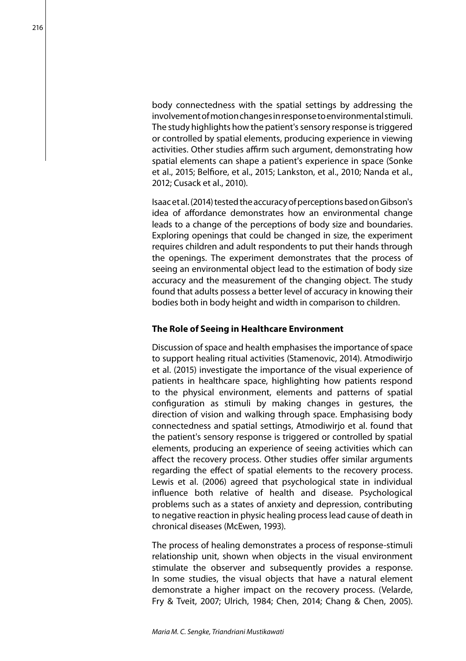body connectedness with the spatial settings by addressing the involvement of motion changes in response to environmental stimuli. The study highlights how the patient's sensory response is triggered or controlled by spatial elements, producing experience in viewing activities. Other studies affirm such argument, demonstrating how spatial elements can shape a patient's experience in space (Sonke et al., 2015; Belfiore, et al., 2015; Lankston, et al., 2010; Nanda et al., 2012; Cusack et al., 2010).

Isaac et al. (2014) tested the accuracy of perceptions based on Gibson's idea of affordance demonstrates how an environmental change leads to a change of the perceptions of body size and boundaries. Exploring openings that could be changed in size, the experiment requires children and adult respondents to put their hands through the openings. The experiment demonstrates that the process of seeing an environmental object lead to the estimation of body size accuracy and the measurement of the changing object. The study found that adults possess a better level of accuracy in knowing their bodies both in body height and width in comparison to children.

## **The Role of Seeing in Healthcare Environment**

Discussion of space and health emphasises the importance of space to support healing ritual activities (Stamenovic, 2014). Atmodiwirjo et al. (2015) investigate the importance of the visual experience of patients in healthcare space, highlighting how patients respond to the physical environment, elements and patterns of spatial configuration as stimuli by making changes in gestures, the direction of vision and walking through space. Emphasising body connectedness and spatial settings, Atmodiwirjo et al. found that the patient's sensory response is triggered or controlled by spatial elements, producing an experience of seeing activities which can affect the recovery process. Other studies offer similar arguments regarding the effect of spatial elements to the recovery process. Lewis et al. (2006) agreed that psychological state in individual influence both relative of health and disease. Psychological problems such as a states of anxiety and depression, contributing to negative reaction in physic healing process lead cause of death in chronical diseases (McEwen, 1993).

The process of healing demonstrates a process of response-stimuli relationship unit, shown when objects in the visual environment stimulate the observer and subsequently provides a response. In some studies, the visual objects that have a natural element demonstrate a higher impact on the recovery process. (Velarde, Fry & Tveit, 2007; Ulrich, 1984; Chen, 2014; Chang & Chen, 2005).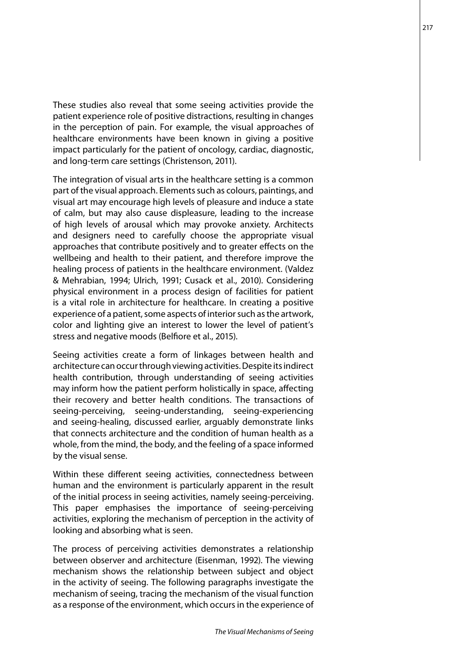These studies also reveal that some seeing activities provide the patient experience role of positive distractions, resulting in changes in the perception of pain. For example, the visual approaches of healthcare environments have been known in giving a positive impact particularly for the patient of oncology, cardiac, diagnostic, and long-term care settings (Christenson, 2011).

The integration of visual arts in the healthcare setting is a common part of the visual approach. Elements such as colours, paintings, and visual art may encourage high levels of pleasure and induce a state of calm, but may also cause displeasure, leading to the increase of high levels of arousal which may provoke anxiety. Architects and designers need to carefully choose the appropriate visual approaches that contribute positively and to greater effects on the wellbeing and health to their patient, and therefore improve the healing process of patients in the healthcare environment. (Valdez & Mehrabian, 1994; Ulrich, 1991; Cusack et al., 2010). Considering physical environment in a process design of facilities for patient is a vital role in architecture for healthcare. In creating a positive experience of a patient, some aspects of interior such as the artwork, color and lighting give an interest to lower the level of patient's stress and negative moods (Belfiore et al., 2015).

Seeing activities create a form of linkages between health and architecture can occur through viewing activities. Despite its indirect health contribution, through understanding of seeing activities may inform how the patient perform holistically in space, affecting their recovery and better health conditions. The transactions of seeing-perceiving, seeing-understanding, seeing-experiencing and seeing-healing, discussed earlier, arguably demonstrate links that connects architecture and the condition of human health as a whole, from the mind, the body, and the feeling of a space informed by the visual sense.

Within these different seeing activities, connectedness between human and the environment is particularly apparent in the result of the initial process in seeing activities, namely seeing-perceiving. This paper emphasises the importance of seeing-perceiving activities, exploring the mechanism of perception in the activity of looking and absorbing what is seen.

The process of perceiving activities demonstrates a relationship between observer and architecture (Eisenman, 1992). The viewing mechanism shows the relationship between subject and object in the activity of seeing. The following paragraphs investigate the mechanism of seeing, tracing the mechanism of the visual function as a response of the environment, which occurs in the experience of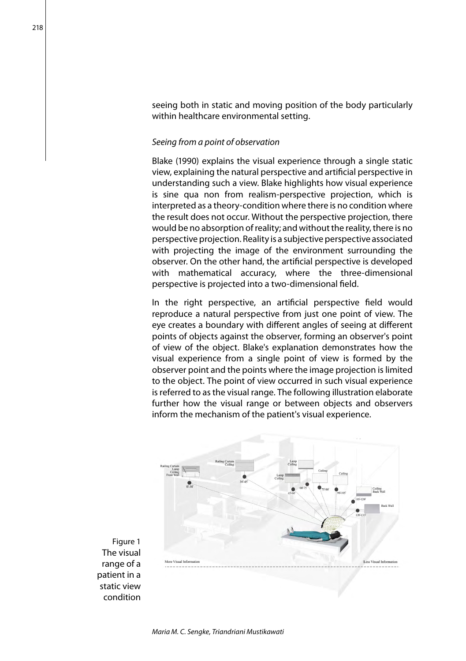seeing both in static and moving position of the body particularly within healthcare environmental setting.

## *Seeing from a point of observation*

Blake (1990) explains the visual experience through a single static view, explaining the natural perspective and artificial perspective in understanding such a view. Blake highlights how visual experience is sine qua non from realism-perspective projection, which is interpreted as a theory-condition where there is no condition where the result does not occur. Without the perspective projection, there would be no absorption of reality; and without the reality, there is no perspective projection. Reality is a subjective perspective associated with projecting the image of the environment surrounding the observer. On the other hand, the artificial perspective is developed with mathematical accuracy, where the three-dimensional perspective is projected into a two-dimensional field.

In the right perspective, an artificial perspective field would reproduce a natural perspective from just one point of view. The eye creates a boundary with different angles of seeing at different points of objects against the observer, forming an observer's point of view of the object. Blake's explanation demonstrates how the visual experience from a single point of view is formed by the observer point and the points where the image projection is limited to the object. The point of view occurred in such visual experience is referred to as the visual range. The following illustration elaborate further how the visual range or between objects and observers inform the mechanism of the patient's visual experience.



Figure 1 The visual range of a patient in a static view condition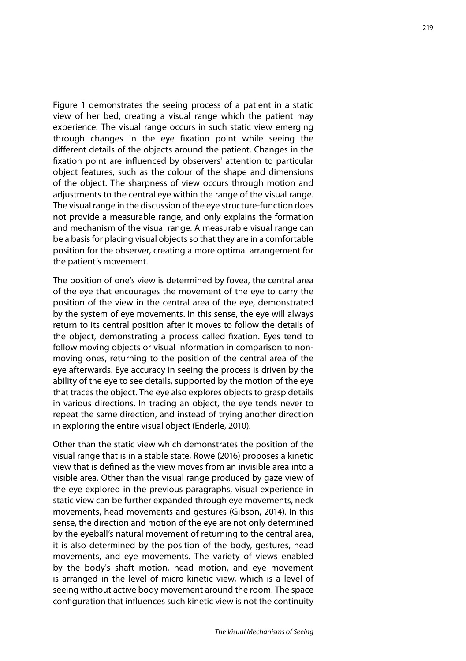Figure 1 demonstrates the seeing process of a patient in a static view of her bed, creating a visual range which the patient may experience. The visual range occurs in such static view emerging through changes in the eye fixation point while seeing the different details of the objects around the patient. Changes in the fixation point are influenced by observers' attention to particular object features, such as the colour of the shape and dimensions of the object. The sharpness of view occurs through motion and adjustments to the central eye within the range of the visual range. The visual range in the discussion of the eye structure-function does not provide a measurable range, and only explains the formation and mechanism of the visual range. A measurable visual range can be a basis for placing visual objects so that they are in a comfortable position for the observer, creating a more optimal arrangement for the patient's movement.

The position of one's view is determined by fovea, the central area of the eye that encourages the movement of the eye to carry the position of the view in the central area of the eye, demonstrated by the system of eye movements. In this sense, the eye will always return to its central position after it moves to follow the details of the object, demonstrating a process called fixation. Eyes tend to follow moving objects or visual information in comparison to nonmoving ones, returning to the position of the central area of the eye afterwards. Eye accuracy in seeing the process is driven by the ability of the eye to see details, supported by the motion of the eye that traces the object. The eye also explores objects to grasp details in various directions. In tracing an object, the eye tends never to repeat the same direction, and instead of trying another direction in exploring the entire visual object (Enderle, 2010).

Other than the static view which demonstrates the position of the visual range that is in a stable state, Rowe (2016) proposes a kinetic view that is defined as the view moves from an invisible area into a visible area. Other than the visual range produced by gaze view of the eye explored in the previous paragraphs, visual experience in static view can be further expanded through eye movements, neck movements, head movements and gestures (Gibson, 2014). In this sense, the direction and motion of the eye are not only determined by the eyeball's natural movement of returning to the central area, it is also determined by the position of the body, gestures, head movements, and eye movements. The variety of views enabled by the body's shaft motion, head motion, and eye movement is arranged in the level of micro-kinetic view, which is a level of seeing without active body movement around the room. The space configuration that influences such kinetic view is not the continuity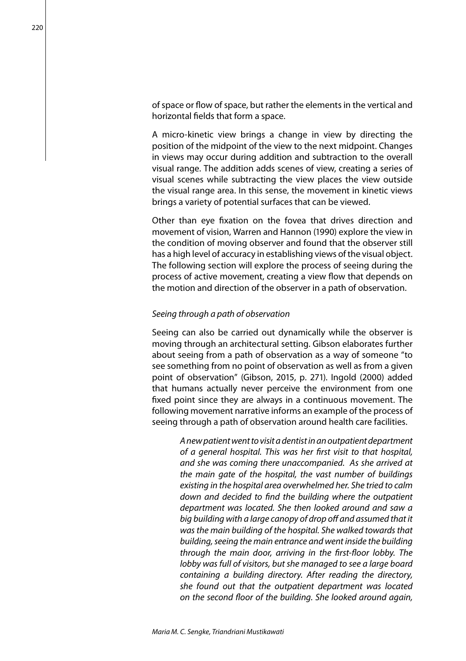of space or flow of space, but rather the elements in the vertical and horizontal fields that form a space.

A micro-kinetic view brings a change in view by directing the position of the midpoint of the view to the next midpoint. Changes in views may occur during addition and subtraction to the overall visual range. The addition adds scenes of view, creating a series of visual scenes while subtracting the view places the view outside the visual range area. In this sense, the movement in kinetic views brings a variety of potential surfaces that can be viewed.

Other than eye fixation on the fovea that drives direction and movement of vision, Warren and Hannon (1990) explore the view in the condition of moving observer and found that the observer still has a high level of accuracy in establishing views of the visual object. The following section will explore the process of seeing during the process of active movement, creating a view flow that depends on the motion and direction of the observer in a path of observation.

### *Seeing through a path of observation*

Seeing can also be carried out dynamically while the observer is moving through an architectural setting. Gibson elaborates further about seeing from a path of observation as a way of someone "to see something from no point of observation as well as from a given point of observation" (Gibson, 2015, p. 271). Ingold (2000) added that humans actually never perceive the environment from one fixed point since they are always in a continuous movement. The following movement narrative informs an example of the process of seeing through a path of observation around health care facilities.

> *A new patient went to visit a dentist in an outpatient department of a general hospital. This was her first visit to that hospital, and she was coming there unaccompanied. As she arrived at the main gate of the hospital, the vast number of buildings existing in the hospital area overwhelmed her. She tried to calm down and decided to find the building where the outpatient department was located. She then looked around and saw a big building with a large canopy of drop off and assumed that it was the main building of the hospital. She walked towards that building, seeing the main entrance and went inside the building through the main door, arriving in the first-floor lobby. The lobby was full of visitors, but she managed to see a large board containing a building directory. After reading the directory, she found out that the outpatient department was located on the second floor of the building. She looked around again,*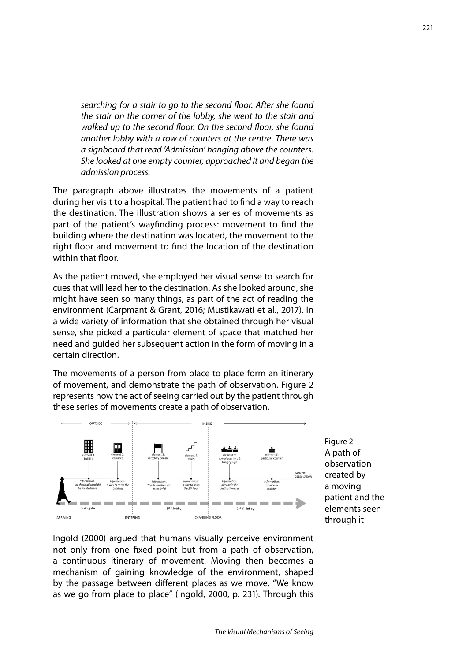*searching for a stair to go to the second floor. After she found the stair on the corner of the lobby, she went to the stair and walked up to the second floor. On the second floor, she found another lobby with a row of counters at the centre. There was a signboard that read 'Admission' hanging above the counters. She looked at one empty counter, approached it and began the admission process.*

The paragraph above illustrates the movements of a patient during her visit to a hospital. The patient had to find a way to reach the destination. The illustration shows a series of movements as part of the patient's wayfinding process: movement to find the building where the destination was located, the movement to the right floor and movement to find the location of the destination within that floor.

As the patient moved, she employed her visual sense to search for cues that will lead her to the destination. As she looked around, she might have seen so many things, as part of the act of reading the environment (Carpmant & Grant, 2016; Mustikawati et al., 2017). In a wide variety of information that she obtained through her visual sense, she picked a particular element of space that matched her need and guided her subsequent action in the form of moving in a certain direction.

The movements of a person from place to place form an itinerary of movement, and demonstrate the path of observation. Figure 2 represents how the act of seeing carried out by the patient through these series of movements create a path of observation.



Figure 2 A path of observation created by a moving patient and the elements seen through it

Ingold (2000) argued that humans visually perceive environment not only from one fixed point but from a path of observation, a continuous itinerary of movement. Moving then becomes a mechanism of gaining knowledge of the environment, shaped by the passage between different places as we move. "We know as we go from place to place" (Ingold, 2000, p. 231). Through this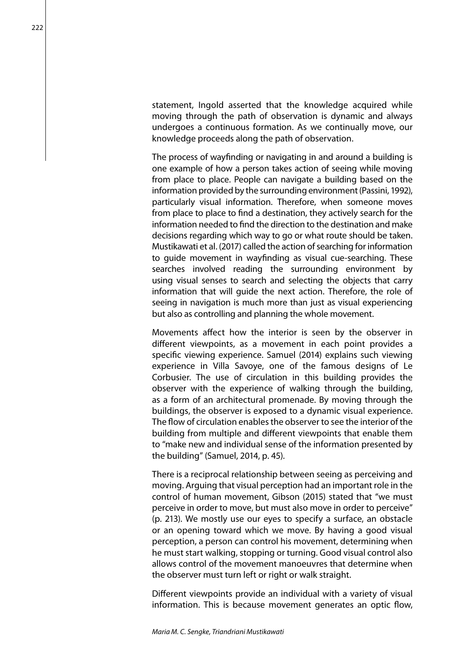statement, Ingold asserted that the knowledge acquired while moving through the path of observation is dynamic and always undergoes a continuous formation. As we continually move, our knowledge proceeds along the path of observation.

The process of wayfinding or navigating in and around a building is one example of how a person takes action of seeing while moving from place to place. People can navigate a building based on the information provided by the surrounding environment (Passini, 1992), particularly visual information. Therefore, when someone moves from place to place to find a destination, they actively search for the information needed to find the direction to the destination and make decisions regarding which way to go or what route should be taken. Mustikawati et al. (2017) called the action of searching for information to guide movement in wayfinding as visual cue-searching. These searches involved reading the surrounding environment by using visual senses to search and selecting the objects that carry information that will guide the next action. Therefore, the role of seeing in navigation is much more than just as visual experiencing but also as controlling and planning the whole movement.

Movements affect how the interior is seen by the observer in different viewpoints, as a movement in each point provides a specific viewing experience. Samuel (2014) explains such viewing experience in Villa Savoye, one of the famous designs of Le Corbusier. The use of circulation in this building provides the observer with the experience of walking through the building, as a form of an architectural promenade. By moving through the buildings, the observer is exposed to a dynamic visual experience. The flow of circulation enables the observer to see the interior of the building from multiple and different viewpoints that enable them to "make new and individual sense of the information presented by the building" (Samuel, 2014, p. 45).

There is a reciprocal relationship between seeing as perceiving and moving. Arguing that visual perception had an important role in the control of human movement, Gibson (2015) stated that "we must perceive in order to move, but must also move in order to perceive" (p. 213). We mostly use our eyes to specify a surface, an obstacle or an opening toward which we move. By having a good visual perception, a person can control his movement, determining when he must start walking, stopping or turning. Good visual control also allows control of the movement manoeuvres that determine when the observer must turn left or right or walk straight.

Different viewpoints provide an individual with a variety of visual information. This is because movement generates an optic flow,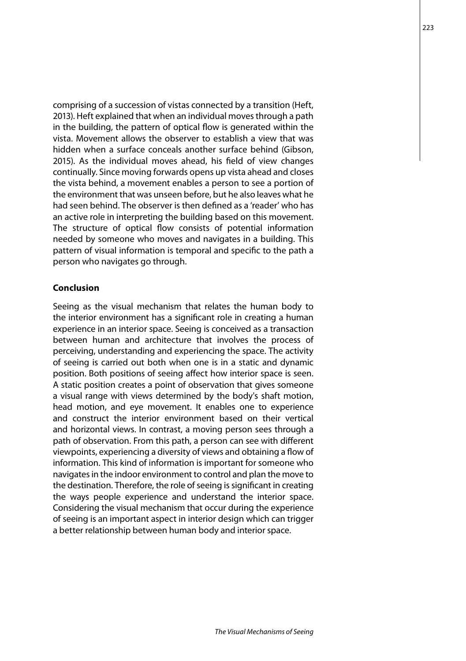comprising of a succession of vistas connected by a transition (Heft, 2013). Heft explained that when an individual moves through a path in the building, the pattern of optical flow is generated within the vista. Movement allows the observer to establish a view that was hidden when a surface conceals another surface behind (Gibson, 2015). As the individual moves ahead, his field of view changes continually. Since moving forwards opens up vista ahead and closes the vista behind, a movement enables a person to see a portion of the environment that was unseen before, but he also leaves what he had seen behind. The observer is then defined as a 'reader' who has an active role in interpreting the building based on this movement. The structure of optical flow consists of potential information needed by someone who moves and navigates in a building. This pattern of visual information is temporal and specific to the path a person who navigates go through.

## **Conclusion**

Seeing as the visual mechanism that relates the human body to the interior environment has a significant role in creating a human experience in an interior space. Seeing is conceived as a transaction between human and architecture that involves the process of perceiving, understanding and experiencing the space. The activity of seeing is carried out both when one is in a static and dynamic position. Both positions of seeing affect how interior space is seen. A static position creates a point of observation that gives someone a visual range with views determined by the body's shaft motion, head motion, and eye movement. It enables one to experience and construct the interior environment based on their vertical and horizontal views. In contrast, a moving person sees through a path of observation. From this path, a person can see with different viewpoints, experiencing a diversity of views and obtaining a flow of information. This kind of information is important for someone who navigates in the indoor environment to control and plan the move to the destination. Therefore, the role of seeing is significant in creating the ways people experience and understand the interior space. Considering the visual mechanism that occur during the experience of seeing is an important aspect in interior design which can trigger a better relationship between human body and interior space.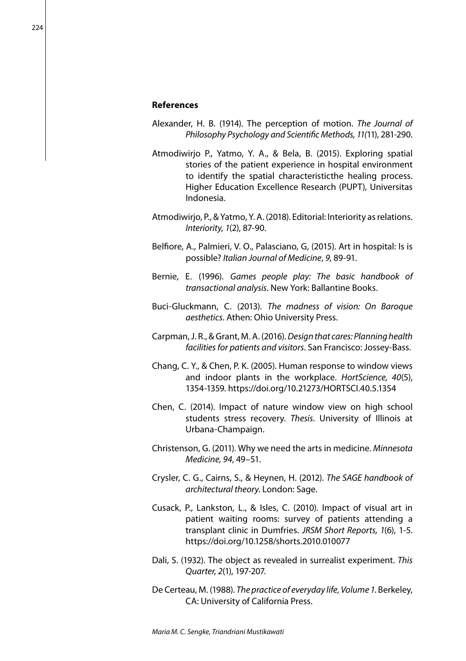## **References**

- Alexander, H. B. (1914). The perception of motion. *The Journal of Philosophy Psychology and Scientific Methods, 11(*11), 281-290.
- Atmodiwirjo P., Yatmo, Y. A., & Bela, B. (2015). Exploring spatial stories of the patient experience in hospital environment to identify the spatial characteristicthe healing process. Higher Education Excellence Research (PUPT), Universitas Indonesia.
- Atmodiwirjo, P., & Yatmo, Y. A. (2018). Editorial: Interiority as relations. *Interiority, 1*(2), 87-90.
- Belfiore, A., Palmieri, V. O., Palasciano, G, (2015). Art in hospital: Is is possible? *Italian Journal of Medicine*, *9*, 89-91.
- Bernie, E. (1996). *Games people play: The basic handbook of transactional analysis*. New York: Ballantine Books.
- Buci-Gluckmann, C. (2013). *The madness of vision: On Baroque aesthetics*. Athen: Ohio University Press.
- Carpman, J. R., & Grant, M. A. (2016). *Design that cares: Planning health facilities for patients and visitors*. San Francisco: Jossey-Bass.
- Chang, C. Y., & Chen, P. K. (2005). Human response to window views and indoor plants in the workplace. *HortScience, 40*(5), 1354-1359. https://doi.org/10.21273/HORTSCI.40.5.1354
- Chen, C. (2014). Impact of nature window view on high school students stress recovery. *Thesis*. University of Illinois at Urbana-Champaign.
- Christenson, G. (2011). Why we need the arts in medicine. *Minnesota Medicine, 94*, 49–51.
- Crysler, C. G., Cairns, S., & Heynen, H. (2012). *The SAGE handbook of architectural theory*. London: Sage.
- Cusack, P., Lankston, L., & Isles, C. (2010). Impact of visual art in patient waiting rooms: survey of patients attending a transplant clinic in Dumfries. *JRSM Short Reports, 1*(6), 1-5. https://doi.org/10.1258/shorts.2010.010077
- Dali, S. (1932). The object as revealed in surrealist experiment. *This Quarter, 2*(1), 197-207.
- De Certeau, M. (1988). *The practice of everyday life, Volume 1*. Berkeley, CA: University of California Press.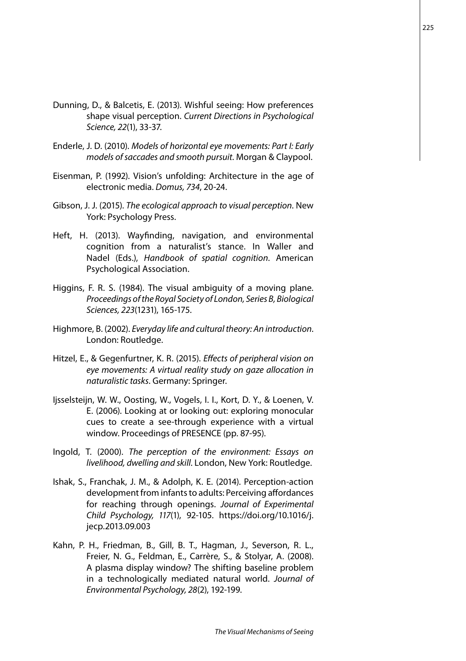- Dunning, D., & Balcetis, E. (2013). Wishful seeing: How preferences shape visual perception. *Current Directions in Psychological Science, 22*(1), 33-37.
- Enderle, J. D. (2010). *Models of horizontal eye movements: Part I: Early models of saccades and smooth pursuit*. Morgan & Claypool.
- Eisenman, P. (1992). Vision's unfolding: Architecture in the age of electronic media. *Domus, 734*, 20-24.
- Gibson, J. J. (2015). *The ecological approach to visual perception*. New York: Psychology Press.
- Heft, H. (2013). Wayfinding, navigation, and environmental cognition from a naturalist's stance. In Waller and Nadel (Eds.), *Handbook of spatial cognition*. American Psychological Association.
- Higgins, F. R. S. (1984). The visual ambiguity of a moving plane. *Proceedings of the Royal Society of London, Series B, Biological Sciences, 223*(1231), 165-175.
- Highmore, B. (2002). *Everyday life and cultural theory: An introduction*. London: Routledge.
- Hitzel, E., & Gegenfurtner, K. R. (2015). *Effects of peripheral vision on eye movements: A virtual reality study on gaze allocation in naturalistic tasks*. Germany: Springer.
- Ijsselsteijn, W. W., Oosting, W., Vogels, I. I., Kort, D. Y., & Loenen, V. E. (2006). Looking at or looking out: exploring monocular cues to create a see-through experience with a virtual window. Proceedings of PRESENCE (pp. 87-95).
- Ingold, T. (2000). *The perception of the environment: Essays on livelihood, dwelling and skill*. London, New York: Routledge.
- Ishak, S., Franchak, J. M., & Adolph, K. E. (2014). Perception-action development from infants to adults: Perceiving affordances for reaching through openings. *Journal of Experimental Child Psychology, 117*(1), 92-105. https://doi.org/10.1016/j. jecp.2013.09.003
- Kahn, P. H., Friedman, B., Gill, B. T., Hagman, J., Severson, R. L., Freier, N. G., Feldman, E., Carrère, S., & Stolyar, A. (2008). A plasma display window? The shifting baseline problem in a technologically mediated natural world. *Journal of Environmental Psychology, 28*(2), 192-199.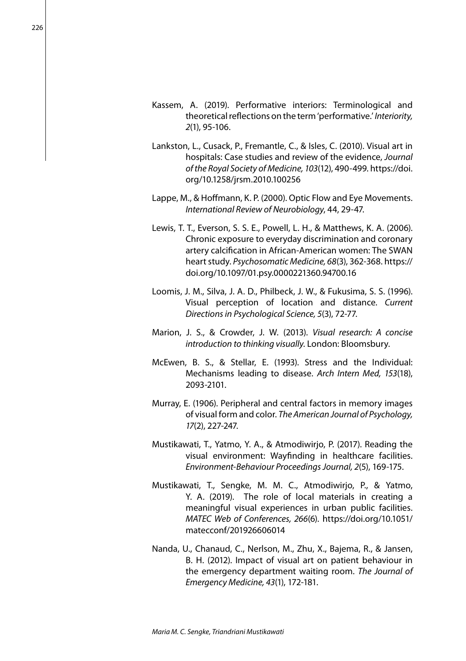- Kassem, A. (2019). Performative interiors: Terminological and theoretical reflections on the term 'performative.' *Interiority, 2*(1), 95-106.
- Lankston, L., Cusack, P., Fremantle, C., & Isles, C. (2010). Visual art in hospitals: Case studies and review of the evidence, *Journal of the Royal Society of Medicine, 103*(12), 490-499. https://doi. org/10.1258/jrsm.2010.100256
- Lappe, M., & Hoffmann, K. P. (2000). Optic Flow and Eye Movements. *International Review of Neurobiology*, 44, 29-47.
- Lewis, T. T., Everson, S. S. E., Powell, L. H., & Matthews, K. A. (2006). Chronic exposure to everyday discrimination and coronary artery calcification in African-American women: The SWAN heart study. *Psychosomatic Medicine, 68*(3), 362-368. https:// doi.org/10.1097/01.psy.0000221360.94700.16
- Loomis, J. M., Silva, J. A. D., Philbeck, J. W., & Fukusima, S. S. (1996). Visual perception of location and distance. *Current Directions in Psychological Science, 5*(3), 72-77.
- Marion, J. S., & Crowder, J. W. (2013). *Visual research: A concise introduction to thinking visually*. London: Bloomsbury.
- McEwen, B. S., & Stellar, E. (1993). Stress and the Individual: Mechanisms leading to disease. *Arch Intern Med, 153*(18), 2093-2101.
- Murray, E. (1906). Peripheral and central factors in memory images of visual form and color. *The American Journal of Psychology, 17*(2), 227-247.
- Mustikawati, T., Yatmo, Y. A., & Atmodiwirjo, P. (2017). Reading the visual environment: Wayfinding in healthcare facilities. *Environment-Behaviour Proceedings Journal, 2*(5), 169-175.
- Mustikawati, T., Sengke, M. M. C., Atmodiwirjo, P., & Yatmo, Y. A. (2019). The role of local materials in creating a meaningful visual experiences in urban public facilities. *MATEC Web of Conferences, 266*(6). https://doi.org/10.1051/ matecconf/201926606014
- Nanda, U., Chanaud, C., Nerlson, M., Zhu, X., Bajema, R., & Jansen, B. H. (2012). Impact of visual art on patient behaviour in the emergency department waiting room. *The Journal of Emergency Medicine, 43*(1), 172-181.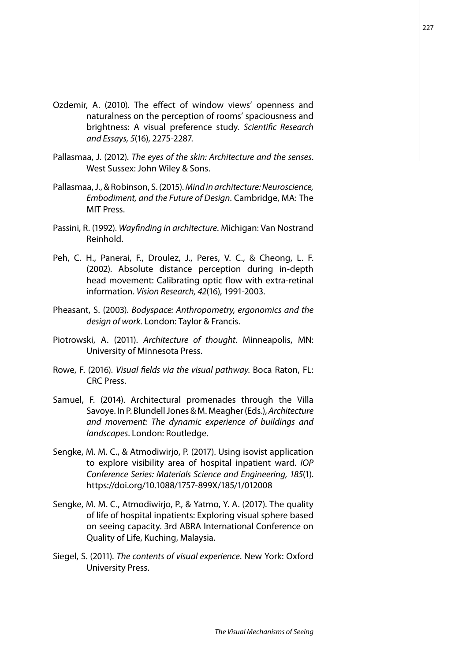- Ozdemir, A. (2010). The effect of window views' openness and naturalness on the perception of rooms' spaciousness and brightness: A visual preference study. *Scientific Research and Essays, 5*(16), 2275-2287.
- Pallasmaa, J. (2012). *The eyes of the skin: Architecture and the senses*. West Sussex: John Wiley & Sons.
- Pallasmaa, J., & Robinson, S. (2015). *Mind in architecture: Neuroscience, Embodiment, and the Future of Design*. Cambridge, MA: The MIT Press.
- Passini, R. (1992). *Wayfinding in architecture*. Michigan: Van Nostrand Reinhold.
- Peh, C. H., Panerai, F., Droulez, J., Peres, V. C., & Cheong, L. F. (2002). Absolute distance perception during in-depth head movement: Calibrating optic flow with extra-retinal information. *Vision Research, 42*(16), 1991-2003.
- Pheasant, S. (2003). *Bodyspace: Anthropometry, ergonomics and the design of work*. London: Taylor & Francis.
- Piotrowski, A. (2011). *Architecture of thought*. Minneapolis, MN: University of Minnesota Press.
- Rowe, F. (2016). *Visual fields via the visual pathway*. Boca Raton, FL: CRC Press.
- Samuel, F. (2014). Architectural promenades through the Villa Savoye. In P. Blundell Jones & M. Meagher (Eds.), *Architecture and movement: The dynamic experience of buildings and landscapes*. London: Routledge.
- Sengke, M. M. C., & Atmodiwirjo, P. (2017). Using isovist application to explore visibility area of hospital inpatient ward. *IOP Conference Series: Materials Science and Engineering, 185*(1). https://doi.org/10.1088/1757-899X/185/1/012008
- Sengke, M. M. C., Atmodiwirjo, P., & Yatmo, Y. A. (2017). The quality of life of hospital inpatients: Exploring visual sphere based on seeing capacity. 3rd ABRA International Conference on Quality of Life, Kuching, Malaysia.
- Siegel, S. (2011). *The contents of visual experience*. New York: Oxford University Press.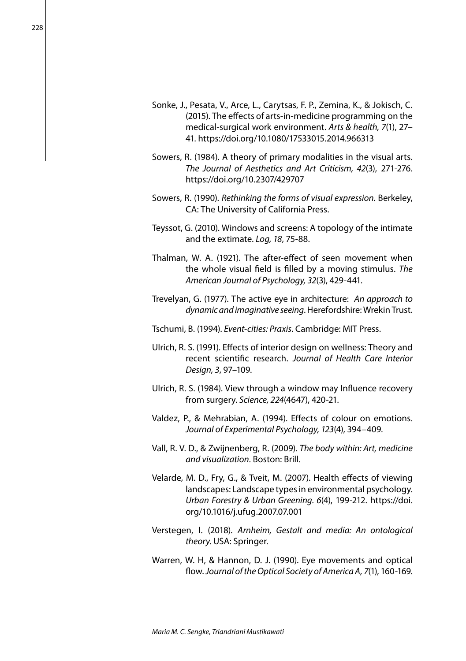- Sonke, J., Pesata, V., Arce, L., Carytsas, F. P., Zemina, K., & Jokisch, C. (2015). The effects of arts-in-medicine programming on the medical-surgical work environment. *Arts & health, 7*(1), 27– 41. https://doi.org/10.1080/17533015.2014.966313
- Sowers, R. (1984). A theory of primary modalities in the visual arts. *The Journal of Aesthetics and Art Criticism, 42*(3), 271-276. https://doi.org/10.2307/429707
- Sowers, R. (1990). *Rethinking the forms of visual expression*. Berkeley, CA: The University of California Press.
- Teyssot, G. (2010). Windows and screens: A topology of the intimate and the extimate. *Log, 18*, 75-88.
- Thalman, W. A. (1921). The after-effect of seen movement when the whole visual field is filled by a moving stimulus. *The American Journal of Psychology, 32*(3), 429-441.
- Trevelyan, G. (1977). The active eye in architecture: *An approach to dynamic and imaginative seeing*. Herefordshire: Wrekin Trust.
- Tschumi, B. (1994). *Event-cities: Praxis*. Cambridge: MIT Press.
- Ulrich, R. S. (1991). Effects of interior design on wellness: Theory and recent scientific research. *Journal of Health Care Interior Design, 3*, 97–109.
- Ulrich, R. S. (1984). View through a window may Influence recovery from surgery. *Science, 224*(4647), 420-21.
- Valdez, P., & Mehrabian, A. (1994). Effects of colour on emotions. *Journal of Experimental Psychology, 123*(4), 394–409.
- Vall, R. V. D., & Zwijnenberg, R. (2009). *The body within: Art, medicine and visualization*. Boston: Brill.
- Velarde, M. D., Fry, G., & Tveit, M. (2007). Health effects of viewing landscapes: Landscape types in environmental psychology. *Urban Forestry & Urban Greening. 6*(4), 199-212. https://doi. org/10.1016/j.ufug.2007.07.001
- Verstegen, I. (2018). *Arnheim, Gestalt and media: An ontological theory*. USA: Springer.
- Warren, W. H, & Hannon, D. J. (1990). Eye movements and optical flow. *Journal of the Optical Society of America A, 7*(1), 160-169.